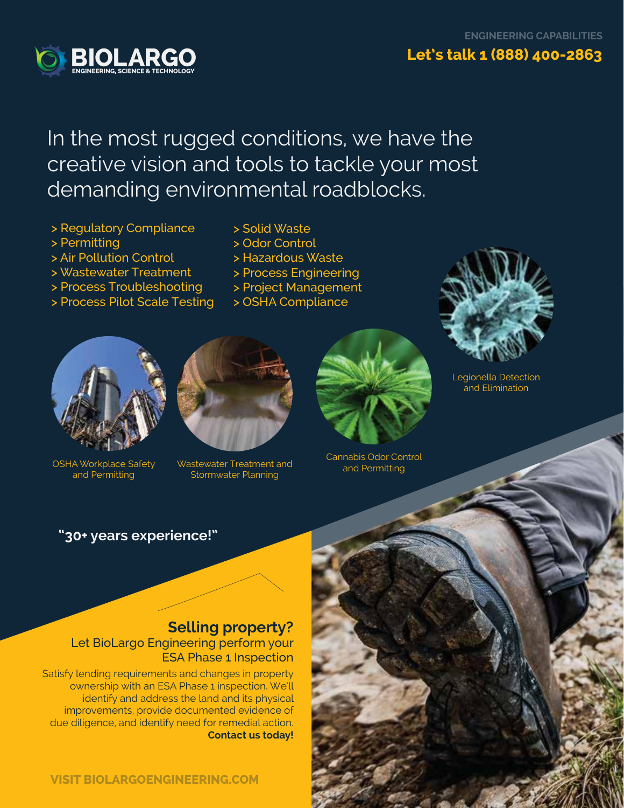

# In the most rugged conditions, we have the creative vision and tools to tackle your most demanding environmental roadblocks.

- > Regulatory Compliance
- > Permitting
- > Air Pollution Control
- > Wastewater Treatment
- > Process Troubleshooting
- > Process Pilot Scale Testing
- > Solid Waste
- > Odor Control
- > Hazardous Waste
- > Process Engineering
- > Project Management
- > OSHA Compliance



and Permitting



OSHA Workplace Safety Unastewater Treatment and and Permitting and Permitting Stormwater Planning



Cannabis Odor Control



Legionella Detection and Elimination

## **"30+ years experience!"**

## **Selling property?**  Let BioLargo Engineering perform your ESA Phase 1 Inspection

Satisfy lending requirements and changes in property ownership with an ESA Phase 1 inspection. We'll identify and address the land and its physical improvements, provide documented evidence of due diligence, and identify need for remedial action. **Contact us today!**